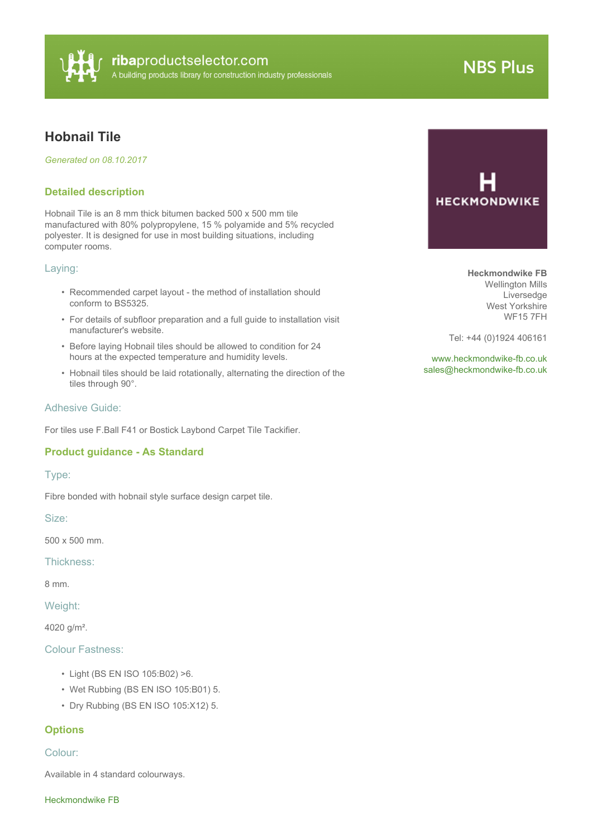

# **NBS Plus**

# **Hobnail Tile**

*Generated on 08.10.2017*

## **Detailed description**

Hobnail Tile is an 8 mm thick bitumen backed 500 x 500 mm tile manufactured with 80% polypropylene, 15 % polyamide and 5% recycled polyester. It is designed for use in most building situations, including computer rooms.

#### Laying:

- Recommended carpet layout the method of installation should conform to BS5325.
- For details of subfloor preparation and a full guide to installation visit manufacturer's website.
- Before laying Hobnail tiles should be allowed to condition for 24 hours at the expected temperature and humidity levels.
- Hobnail tiles should be laid rotationally, alternating the direction of the tiles through 90°.

#### Adhesive Guide:

For tiles use F.Ball F41 or Bostick Laybond Carpet Tile Tackifier.

# **Product guidance - As Standard**

#### Type:

Fibre bonded with hobnail style surface design carpet tile.

Size:

500 x 500 mm.

Thickness:

8 mm.

Weight:

4020 g/m².

## Colour Fastness:

- Light (BS EN ISO 105:B02) >6.
- Wet Rubbing (BS EN ISO 105:B01) 5.
- Dry Rubbing (BS EN ISO 105:X12) 5.

#### **Options**

#### Colour:

Available in 4 standard colourways.

Heckmondwike FB



**Heckmondwike FB** Wellington Mills Liversedge West Yorkshire WF15 7FH

Tel: +44 (0)1924 406161

<www.heckmondwike-fb.co.uk> [sales@heckmondwike-fb.co.uk](mailto:sales@heckmondwike-fb.co.uk?subject=Hobnail Tile)